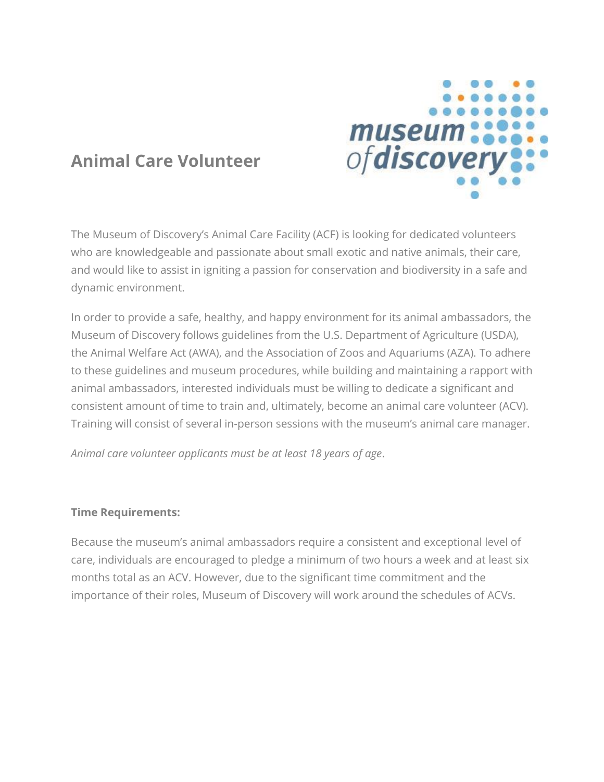

## **Animal Care Volunteer**

The Museum of Discovery's Animal Care Facility (ACF) is looking for dedicated volunteers who are knowledgeable and passionate about small exotic and native animals, their care, and would like to assist in igniting a passion for conservation and biodiversity in a safe and dynamic environment.

In order to provide a safe, healthy, and happy environment for its animal ambassadors, the Museum of Discovery follows guidelines from the U.S. Department of Agriculture (USDA), the Animal Welfare Act (AWA), and the Association of Zoos and Aquariums (AZA). To adhere to these guidelines and museum procedures, while building and maintaining a rapport with animal ambassadors, interested individuals must be willing to dedicate a significant and consistent amount of time to train and, ultimately, become an animal care volunteer (ACV). Training will consist of several in-person sessions with the museum's animal care manager.

*Animal care volunteer applicants must be at least 18 years of age*.

## **Time Requirements:**

Because the museum's animal ambassadors require a consistent and exceptional level of care, individuals are encouraged to pledge a minimum of two hours a week and at least six months total as an ACV. However, due to the significant time commitment and the importance of their roles, Museum of Discovery will work around the schedules of ACVs.